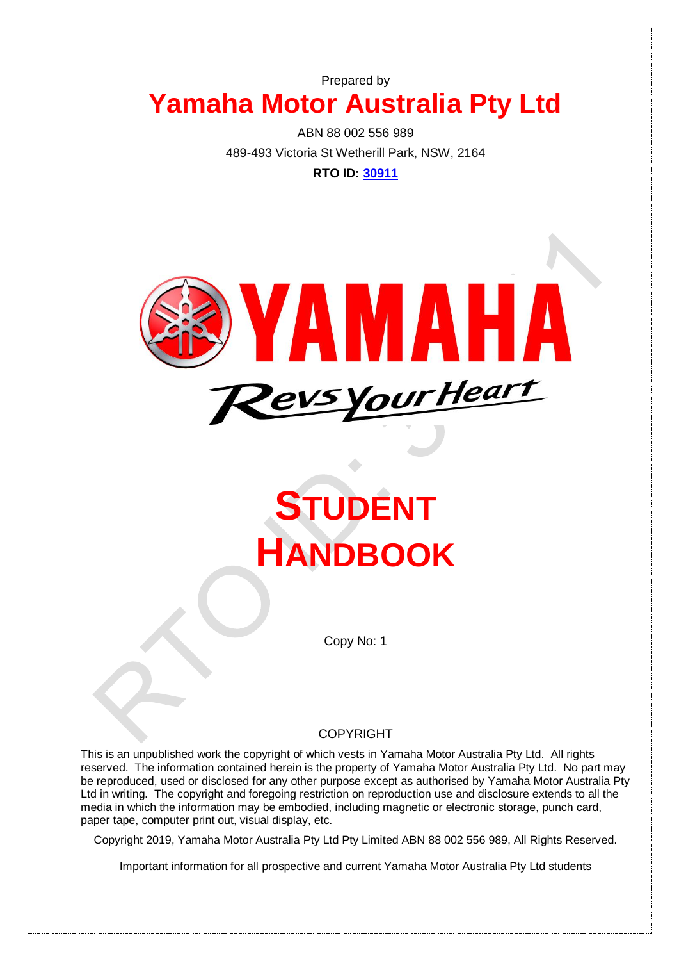# Prepared by **Yamaha Motor Australia Pty Ltd**

ABN 88 002 556 989 489-493 Victoria St Wetherill Park, NSW, 2164

**RTO ID: [30911](http://training.gov.au/Organisation/Details/30911)** 



# **STUDENT HANDBOOK**

Copy No: 1

#### COPYRIGHT

This is an unpublished work the copyright of which vests in Yamaha Motor Australia Pty Ltd. All rights reserved. The information contained herein is the property of Yamaha Motor Australia Pty Ltd. No part may be reproduced, used or disclosed for any other purpose except as authorised by Yamaha Motor Australia Pty Ltd in writing. The copyright and foregoing restriction on reproduction use and disclosure extends to all the media in which the information may be embodied, including magnetic or electronic storage, punch card, paper tape, computer print out, visual display, etc.

Copyright 2019, Yamaha Motor Australia Pty Ltd Pty Limited ABN 88 002 556 989, All Rights Reserved.

Important information for all prospective and current Yamaha Motor Australia Pty Ltd students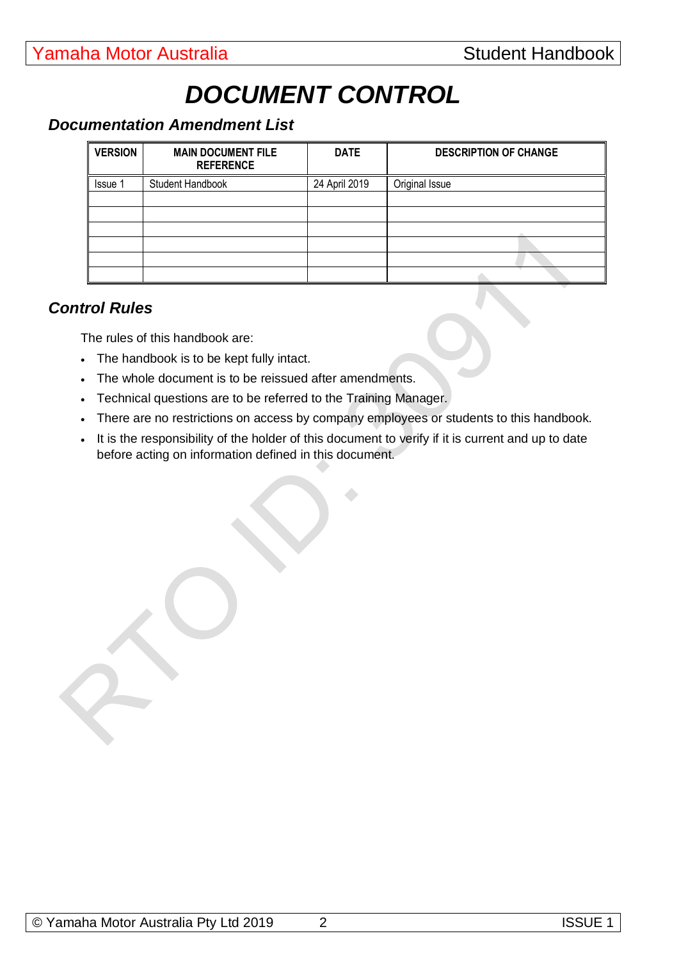# *DOCUMENT CONTROL*

# *Documentation Amendment List*

| <b>VERSION</b> | <b>MAIN DOCUMENT FILE</b><br><b>REFERENCE</b> | <b>DATE</b>   | <b>DESCRIPTION OF CHANGE</b> |
|----------------|-----------------------------------------------|---------------|------------------------------|
| <b>Issue 1</b> | Student Handbook                              | 24 April 2019 | Original Issue               |
|                |                                               |               |                              |
|                |                                               |               |                              |
|                |                                               |               |                              |
|                |                                               |               |                              |
|                |                                               |               |                              |
|                |                                               |               |                              |

# *Control Rules*

The rules of this handbook are:

- The handbook is to be kept fully intact.
- The whole document is to be reissued after amendments.
- Technical questions are to be referred to the Training Manager.
- There are no restrictions on access by company employees or students to this handbook.
- It is the responsibility of the holder of this document to verify if it is current and up to date before acting on information defined in this document.

 $\bullet$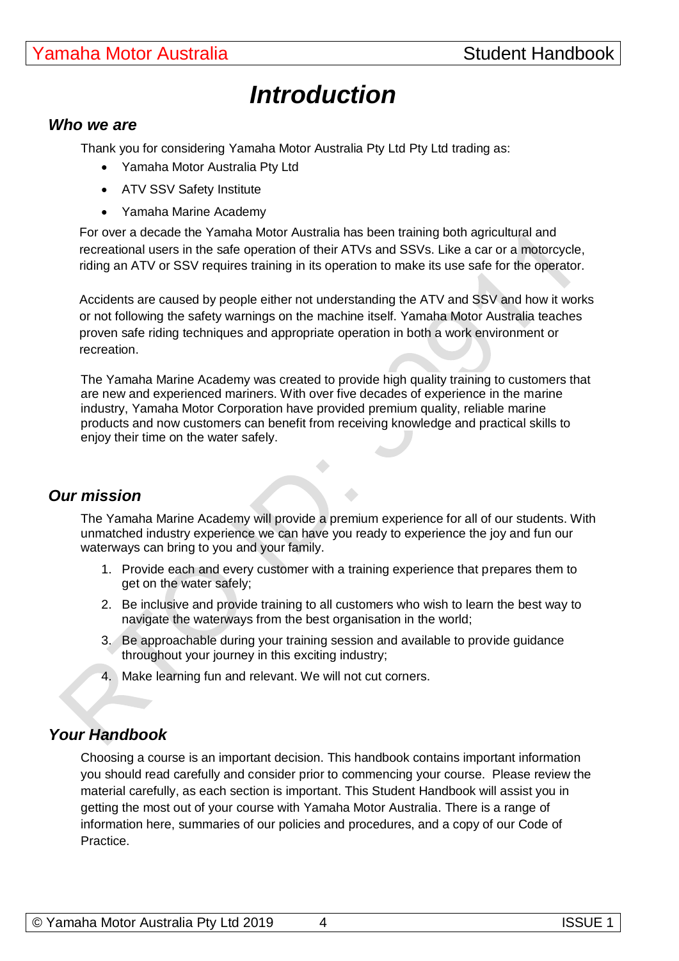# *Introduction*

#### *Who we are*

Thank you for considering Yamaha Motor Australia Pty Ltd Pty Ltd trading as:

- Yamaha Motor Australia Pty Ltd
- ATV SSV Safety Institute
- Yamaha Marine Academy

For over a decade the Yamaha Motor Australia has been training both agricultural and recreational users in the safe operation of their ATVs and SSVs. Like a car or a motorcycle, riding an ATV or SSV requires training in its operation to make its use safe for the operator.

Accidents are caused by people either not understanding the ATV and SSV and how it works or not following the safety warnings on the machine itself. Yamaha Motor Australia teaches proven safe riding techniques and appropriate operation in both a work environment or recreation.

The Yamaha Marine Academy was created to provide high quality training to customers that are new and experienced mariners. With over five decades of experience in the marine industry, Yamaha Motor Corporation have provided premium quality, reliable marine products and now customers can benefit from receiving knowledge and practical skills to enjoy their time on the water safely.

# *Our mission*

The Yamaha Marine Academy will provide a premium experience for all of our students. With unmatched industry experience we can have you ready to experience the joy and fun our waterways can bring to you and your family.

- 1. Provide each and every customer with a training experience that prepares them to get on the water safely;
- 2. Be inclusive and provide training to all customers who wish to learn the best way to navigate the waterways from the best organisation in the world;
- 3. Be approachable during your training session and available to provide guidance throughout your journey in this exciting industry;
- 4. Make learning fun and relevant. We will not cut corners.

# *Your Handbook*

Choosing a course is an important decision. This handbook contains important information you should read carefully and consider prior to commencing your course. Please review the material carefully, as each section is important. This Student Handbook will assist you in getting the most out of your course with Yamaha Motor Australia. There is a range of information here, summaries of our policies and procedures, and a copy of our Code of Practice.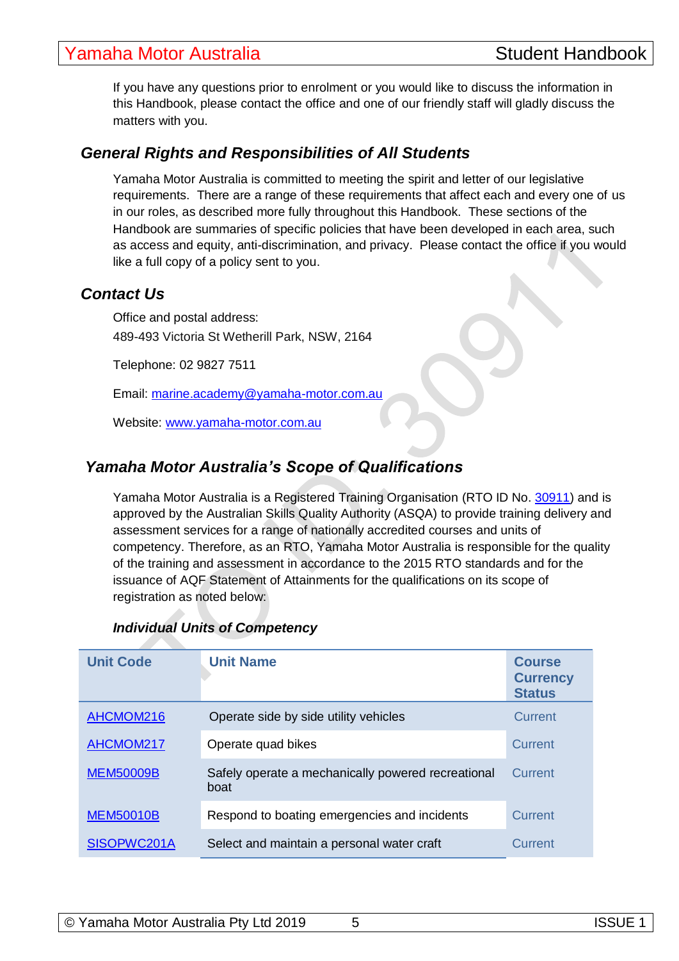# **Yamaha Motor Australia** New York Student Handbook

If you have any questions prior to enrolment or you would like to discuss the information in this Handbook, please contact the office and one of our friendly staff will gladly discuss the matters with you.

# *General Rights and Responsibilities of All Students*

Yamaha Motor Australia is committed to meeting the spirit and letter of our legislative requirements. There are a range of these requirements that affect each and every one of us in our roles, as described more fully throughout this Handbook. These sections of the Handbook are summaries of specific policies that have been developed in each area, such as access and equity, anti-discrimination, and privacy. Please contact the office if you would like a full copy of a policy sent to you.

# *Contact Us*

Office and postal address: 489-493 Victoria St Wetherill Park, NSW, 2164

Telephone: 02 9827 7511

Email: [marine.academy@yamaha-motor.com.au](mailto:marine.academy@yamaha-motor.com.au)

Website: [www.yamaha-motor.com.au](http://www.yamaha-motor.com.au/)

# *Yamaha Motor Australia's Scope of Qualifications*

Yamaha Motor Australia is a Registered Training Organisation (RTO ID No. [30911\)](http://training.gov.au/Organisation/Details/30911) and is approved by the Australian Skills Quality Authority (ASQA) to provide training delivery and assessment services for a range of nationally accredited courses and units of competency. Therefore, as an RTO, Yamaha Motor Australia is responsible for the quality of the training and assessment in accordance to the 2015 RTO standards and for the issuance of AQF Statement of Attainments for the qualifications on its scope of registration as noted below:

#### *Individual Units of Competency*

| <b>Unit Code</b> | <b>Unit Name</b>                                           | <b>Course</b><br><b>Currency</b><br><b>Status</b> |
|------------------|------------------------------------------------------------|---------------------------------------------------|
| AHCMOM216        | Operate side by side utility vehicles                      | Current                                           |
| AHCMOM217        | Operate quad bikes                                         | Current                                           |
| <b>MEM50009B</b> | Safely operate a mechanically powered recreational<br>boat | Current                                           |
| <b>MEM50010B</b> | Respond to boating emergencies and incidents               | Current                                           |
| SISOPWC201A      | Select and maintain a personal water craft                 | Current                                           |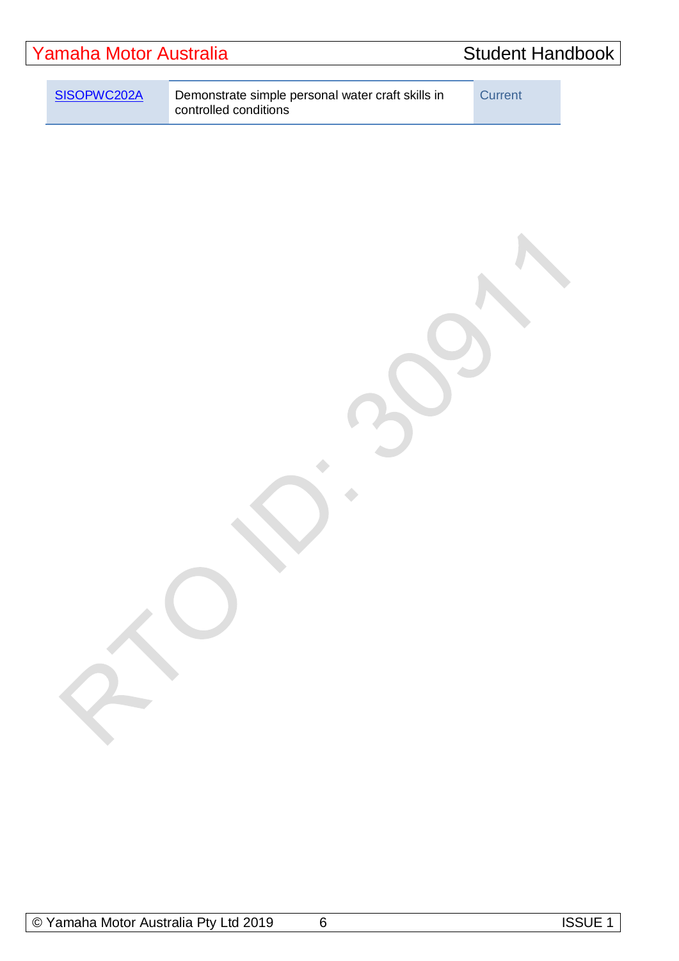| Yamaha Motor Australia |             | <b>Student Handbook</b>                                                    |         |  |
|------------------------|-------------|----------------------------------------------------------------------------|---------|--|
|                        | SISOPWC202A | Demonstrate simple personal water craft skills in<br>controlled conditions | Current |  |
|                        |             |                                                                            |         |  |

 $\bullet$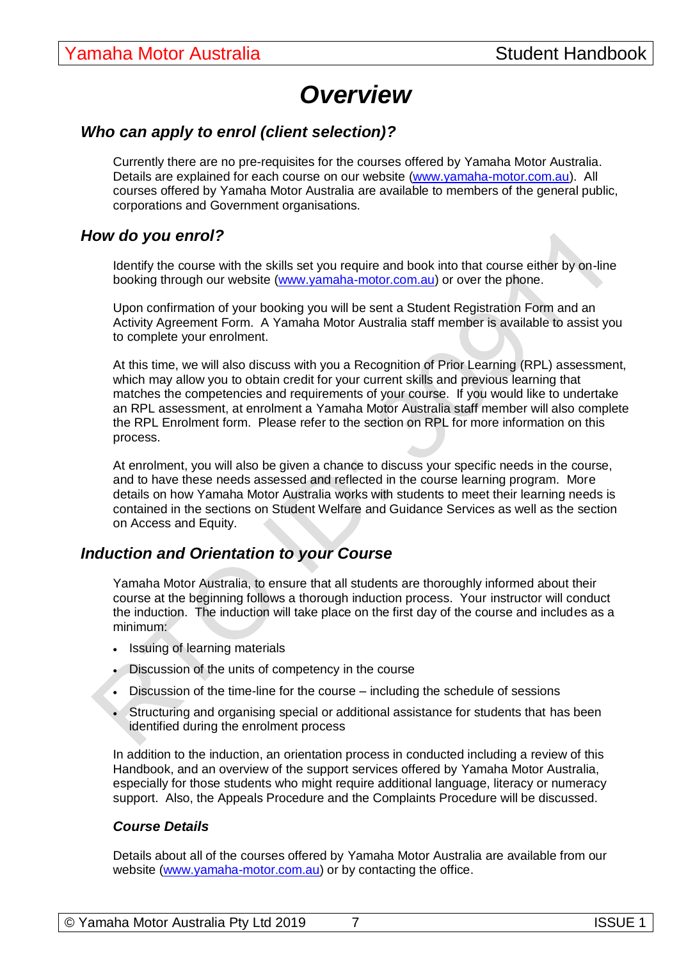# *Overview*

# *Who can apply to enrol (client selection)?*

Currently there are no pre-requisites for the courses offered by Yamaha Motor Australia. Details are explained for each course on our website [\(www.yamaha-motor.com.au\)](http://www.yamaha-motor.com.au/). All courses offered by Yamaha Motor Australia are available to members of the general public, corporations and Government organisations.

#### *How do you enrol?*

Identify the course with the skills set you require and book into that course either by on-line booking through our website [\(www.yamaha-motor.com.au\)](http://www.yamaha-motor.com.au/) or over the phone.

Upon confirmation of your booking you will be sent a Student Registration Form and an Activity Agreement Form. A Yamaha Motor Australia staff member is available to assist you to complete your enrolment.

At this time, we will also discuss with you a Recognition of Prior Learning (RPL) assessment, which may allow you to obtain credit for your current skills and previous learning that matches the competencies and requirements of your course. If you would like to undertake an RPL assessment, at enrolment a Yamaha Motor Australia staff member will also complete the RPL Enrolment form. Please refer to the section on RPL for more information on this process.

At enrolment, you will also be given a chance to discuss your specific needs in the course, and to have these needs assessed and reflected in the course learning program. More details on how Yamaha Motor Australia works with students to meet their learning needs is contained in the sections on Student Welfare and Guidance Services as well as the section on Access and Equity.

### *Induction and Orientation to your Course*

Yamaha Motor Australia, to ensure that all students are thoroughly informed about their course at the beginning follows a thorough induction process. Your instructor will conduct the induction. The induction will take place on the first day of the course and includes as a minimum:

- Issuing of learning materials
- Discussion of the units of competency in the course
- Discussion of the time-line for the course including the schedule of sessions
- Structuring and organising special or additional assistance for students that has been identified during the enrolment process

In addition to the induction, an orientation process in conducted including a review of this Handbook, and an overview of the support services offered by Yamaha Motor Australia, especially for those students who might require additional language, literacy or numeracy support. Also, the Appeals Procedure and the Complaints Procedure will be discussed.

#### *Course Details*

Details about all of the courses offered by Yamaha Motor Australia are available from our website [\(www.yamaha-motor.com.au\)](http://www.yamaha-motor.com.au/) or by contacting the office.

| © Yamaha Motor Australia Pty Ltd 2019 |  | <b>ISSUE 1</b> |
|---------------------------------------|--|----------------|
|---------------------------------------|--|----------------|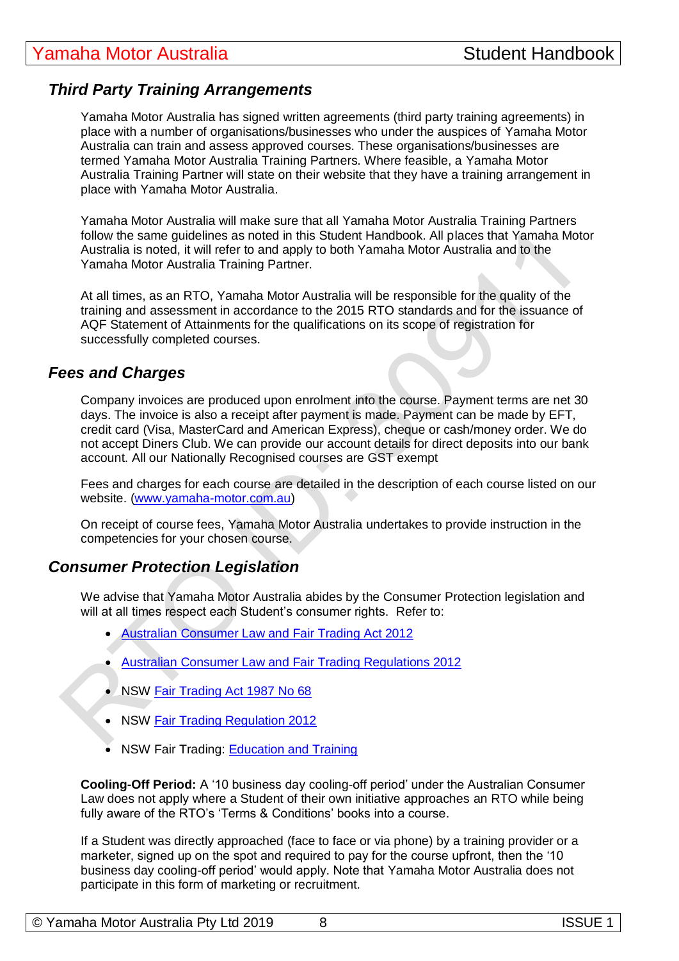# *Third Party Training Arrangements*

Yamaha Motor Australia has signed written agreements (third party training agreements) in place with a number of organisations/businesses who under the auspices of Yamaha Motor Australia can train and assess approved courses. These organisations/businesses are termed Yamaha Motor Australia Training Partners. Where feasible, a Yamaha Motor Australia Training Partner will state on their website that they have a training arrangement in place with Yamaha Motor Australia.

Yamaha Motor Australia will make sure that all Yamaha Motor Australia Training Partners follow the same guidelines as noted in this Student Handbook. All places that Yamaha Motor Australia is noted, it will refer to and apply to both Yamaha Motor Australia and to the Yamaha Motor Australia Training Partner.

At all times, as an RTO, Yamaha Motor Australia will be responsible for the quality of the training and assessment in accordance to the 2015 RTO standards and for the issuance of AQF Statement of Attainments for the qualifications on its scope of registration for successfully completed courses.

#### *Fees and Charges*

Company invoices are produced upon enrolment into the course. Payment terms are net 30 days. The invoice is also a receipt after payment is made. Payment can be made by EFT, credit card (Visa, MasterCard and American Express), cheque or cash/money order. We do not accept Diners Club. We can provide our account details for direct deposits into our bank account. All our Nationally Recognised courses are GST exempt

Fees and charges for each course are detailed in the description of each course listed on our website. [\(www.yamaha-motor.com.au\)](http://www.yamaha-motor.com.au/)

On receipt of course fees, Yamaha Motor Australia undertakes to provide instruction in the competencies for your chosen course.

### *Consumer Protection Legislation*

We advise that Yamaha Motor Australia abides by the Consumer Protection legislation and will at all times respect each Student's consumer rights. Refer to:

- [Australian Consumer Law and Fair Trading Act 2012](http://www.legislation.vic.gov.au/Domino/Web_Notes/LDMS/PubStatbook.nsf/f932b66241ecf1b7ca256e92000e23be/a7a06c0b33b7f723ca2579f80018c9f2/$FILE/12-021abookmarked.pdf)
- [Australian Consumer Law and Fair Trading Regulations 2012](http://www.legislation.vic.gov.au/Domino/Web_Notes/LDMS/LTObject_Store/LTObjSt7.nsf/DDE300B846EED9C7CA257616000A3571/3DC7B153E5AE1B71CA257B0A0078AB11/$FILE/12-62sr003bookmarked.pdf)
- NSW [Fair Trading Act 1987 No 68](http://www.legislation.nsw.gov.au/maintop/view/inforce/act+68+1987+cd+0+N)
- NSW [Fair Trading Regulation 2012](http://www.legislation.nsw.gov.au/maintop/view/inforce/subordleg+427+2012+cd+0+N)
- NSW Fair Trading: [Education and Training](http://www.fairtrading.nsw.gov.au/ftw/Consumers/Buying_services/Education_and_training.page)

**Cooling-Off Period:** A '10 business day cooling-off period' under the Australian Consumer Law does not apply where a Student of their own initiative approaches an RTO while being fully aware of the RTO's 'Terms & Conditions' books into a course.

If a Student was directly approached (face to face or via phone) by a training provider or a marketer, signed up on the spot and required to pay for the course upfront, then the '10 business day cooling-off period' would apply. Note that Yamaha Motor Australia does not participate in this form of marketing or recruitment.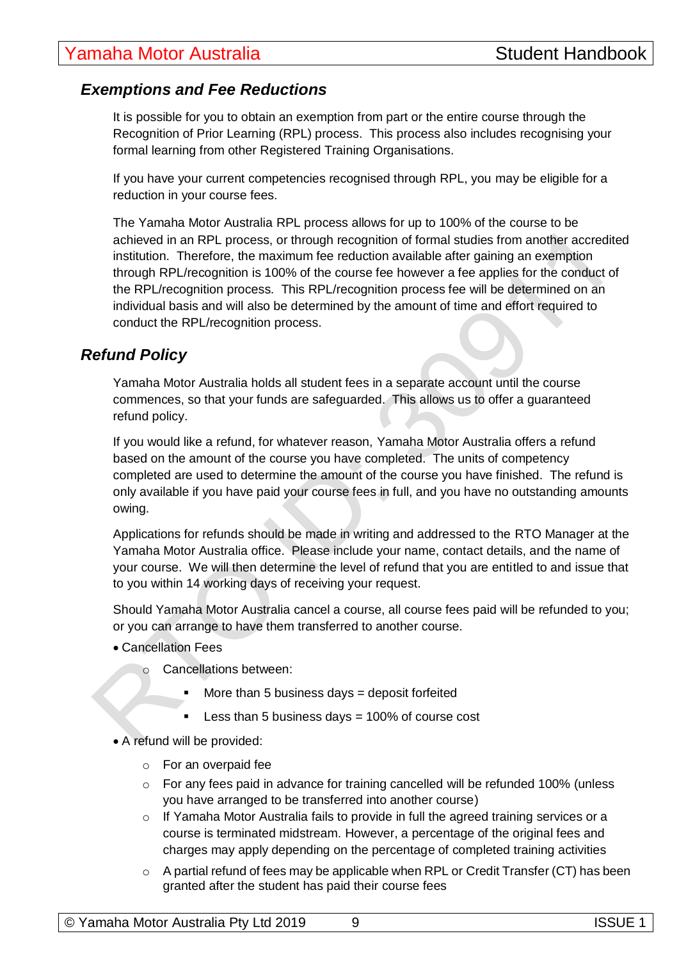# *Exemptions and Fee Reductions*

It is possible for you to obtain an exemption from part or the entire course through the Recognition of Prior Learning (RPL) process. This process also includes recognising your formal learning from other Registered Training Organisations.

If you have your current competencies recognised through RPL, you may be eligible for a reduction in your course fees.

The Yamaha Motor Australia RPL process allows for up to 100% of the course to be achieved in an RPL process, or through recognition of formal studies from another accredited institution. Therefore, the maximum fee reduction available after gaining an exemption through RPL/recognition is 100% of the course fee however a fee applies for the conduct of the RPL/recognition process. This RPL/recognition process fee will be determined on an individual basis and will also be determined by the amount of time and effort required to conduct the RPL/recognition process.

# *Refund Policy*

Yamaha Motor Australia holds all student fees in a separate account until the course commences, so that your funds are safeguarded. This allows us to offer a guaranteed refund policy.

If you would like a refund, for whatever reason, Yamaha Motor Australia offers a refund based on the amount of the course you have completed. The units of competency completed are used to determine the amount of the course you have finished. The refund is only available if you have paid your course fees in full, and you have no outstanding amounts owing.

Applications for refunds should be made in writing and addressed to the RTO Manager at the Yamaha Motor Australia office. Please include your name, contact details, and the name of your course. We will then determine the level of refund that you are entitled to and issue that to you within 14 working days of receiving your request.

Should Yamaha Motor Australia cancel a course, all course fees paid will be refunded to you; or you can arrange to have them transferred to another course.

- Cancellation Fees
	- o Cancellations between:
		- More than 5 business days  $=$  deposit forfeited
		- Less than 5 business days = 100% of course cost

• A refund will be provided:

- o For an overpaid fee
- o For any fees paid in advance for training cancelled will be refunded 100% (unless you have arranged to be transferred into another course)
- o If Yamaha Motor Australia fails to provide in full the agreed training services or a course is terminated midstream. However, a percentage of the original fees and charges may apply depending on the percentage of completed training activities
- $\circ$  A partial refund of fees may be applicable when RPL or Credit Transfer (CT) has been granted after the student has paid their course fees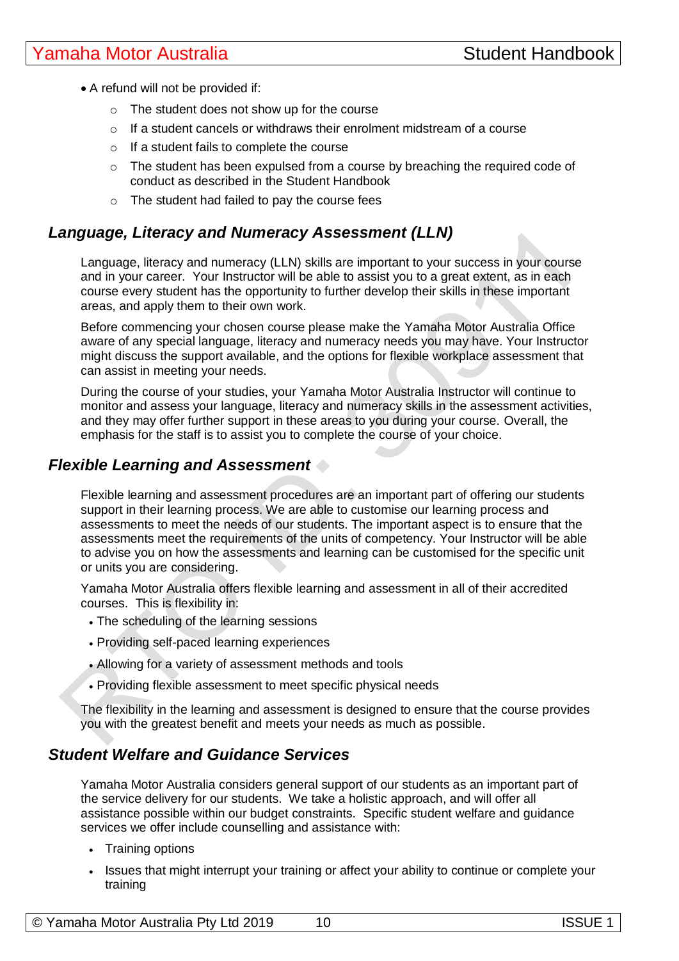- A refund will not be provided if:
	- o The student does not show up for the course
	- $\circ$  If a student cancels or withdraws their enrolment midstream of a course
	- $\circ$  If a student fails to complete the course
	- $\circ$  The student has been expulsed from a course by breaching the required code of conduct as described in the Student Handbook
	- o The student had failed to pay the course fees

# *Language, Literacy and Numeracy Assessment (LLN)*

Language, literacy and numeracy (LLN) skills are important to your success in your course and in your career. Your Instructor will be able to assist you to a great extent, as in each course every student has the opportunity to further develop their skills in these important areas, and apply them to their own work.

Before commencing your chosen course please make the Yamaha Motor Australia Office aware of any special language, literacy and numeracy needs you may have. Your Instructor might discuss the support available, and the options for flexible workplace assessment that can assist in meeting your needs.

During the course of your studies, your Yamaha Motor Australia Instructor will continue to monitor and assess your language, literacy and numeracy skills in the assessment activities, and they may offer further support in these areas to you during your course. Overall, the emphasis for the staff is to assist you to complete the course of your choice.

# *Flexible Learning and Assessment*

Flexible learning and assessment procedures are an important part of offering our students support in their learning process. We are able to customise our learning process and assessments to meet the needs of our students. The important aspect is to ensure that the assessments meet the requirements of the units of competency. Your Instructor will be able to advise you on how the assessments and learning can be customised for the specific unit or units you are considering.

Yamaha Motor Australia offers flexible learning and assessment in all of their accredited courses. This is flexibility in:

- The scheduling of the learning sessions
- Providing self-paced learning experiences
- Allowing for a variety of assessment methods and tools
- Providing flexible assessment to meet specific physical needs

The flexibility in the learning and assessment is designed to ensure that the course provides you with the greatest benefit and meets your needs as much as possible.

# *Student Welfare and Guidance Services*

Yamaha Motor Australia considers general support of our students as an important part of the service delivery for our students. We take a holistic approach, and will offer all assistance possible within our budget constraints. Specific student welfare and guidance services we offer include counselling and assistance with:

- Training options
- Issues that might interrupt your training or affect your ability to continue or complete your training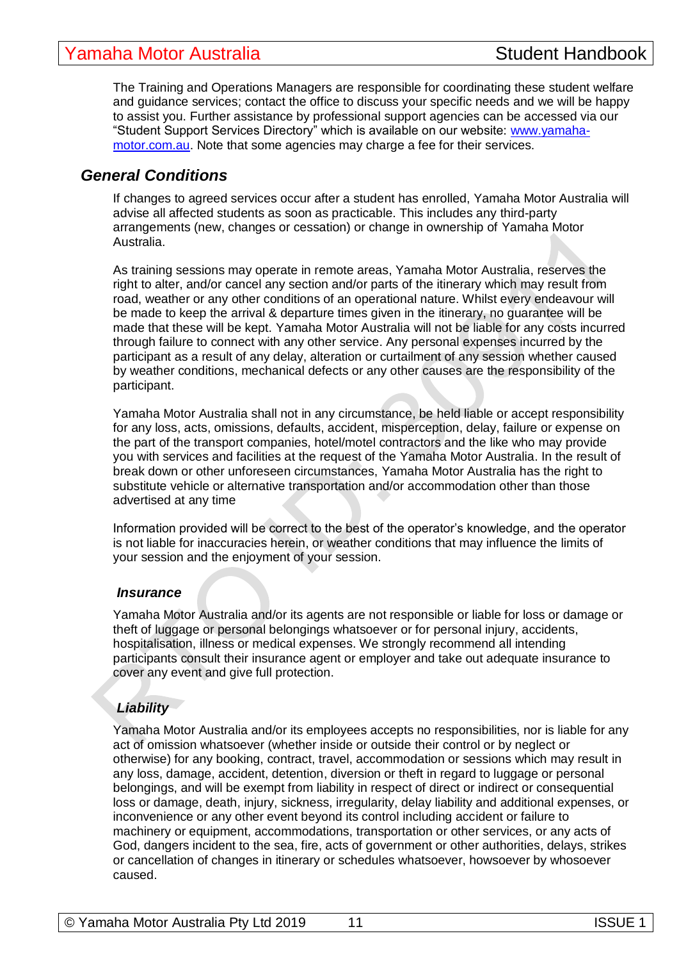The Training and Operations Managers are responsible for coordinating these student welfare and guidance services; contact the office to discuss your specific needs and we will be happy to assist you. Further assistance by professional support agencies can be accessed via our "Student Support Services Directory" which is available on our website: [www.yamaha](http://www.yamaha-motor.com.au/)[motor.com.au.](http://www.yamaha-motor.com.au/) Note that some agencies may charge a fee for their services.

# *General Conditions*

If changes to agreed services occur after a student has enrolled, Yamaha Motor Australia will advise all affected students as soon as practicable. This includes any third-party arrangements (new, changes or cessation) or change in ownership of Yamaha Motor Australia.

As training sessions may operate in remote areas, Yamaha Motor Australia, reserves the right to alter, and/or cancel any section and/or parts of the itinerary which may result from road, weather or any other conditions of an operational nature. Whilst every endeavour will be made to keep the arrival & departure times given in the itinerary, no guarantee will be made that these will be kept. Yamaha Motor Australia will not be liable for any costs incurred through failure to connect with any other service. Any personal expenses incurred by the participant as a result of any delay, alteration or curtailment of any session whether caused by weather conditions, mechanical defects or any other causes are the responsibility of the participant.

Yamaha Motor Australia shall not in any circumstance, be held liable or accept responsibility for any loss, acts, omissions, defaults, accident, misperception, delay, failure or expense on the part of the transport companies, hotel/motel contractors and the like who may provide you with services and facilities at the request of the Yamaha Motor Australia. In the result of break down or other unforeseen circumstances, Yamaha Motor Australia has the right to substitute vehicle or alternative transportation and/or accommodation other than those advertised at any time

Information provided will be correct to the best of the operator's knowledge, and the operator is not liable for inaccuracies herein, or weather conditions that may influence the limits of your session and the enjoyment of your session.

#### *Insurance*

Yamaha Motor Australia and/or its agents are not responsible or liable for loss or damage or theft of luggage or personal belongings whatsoever or for personal injury, accidents, hospitalisation, illness or medical expenses. We strongly recommend all intending participants consult their insurance agent or employer and take out adequate insurance to cover any event and give full protection.

# *Liability*

Yamaha Motor Australia and/or its employees accepts no responsibilities, nor is liable for any act of omission whatsoever (whether inside or outside their control or by neglect or otherwise) for any booking, contract, travel, accommodation or sessions which may result in any loss, damage, accident, detention, diversion or theft in regard to luggage or personal belongings, and will be exempt from liability in respect of direct or indirect or consequential loss or damage, death, injury, sickness, irregularity, delay liability and additional expenses, or inconvenience or any other event beyond its control including accident or failure to machinery or equipment, accommodations, transportation or other services, or any acts of God, dangers incident to the sea, fire, acts of government or other authorities, delays, strikes or cancellation of changes in itinerary or schedules whatsoever, howsoever by whosoever caused.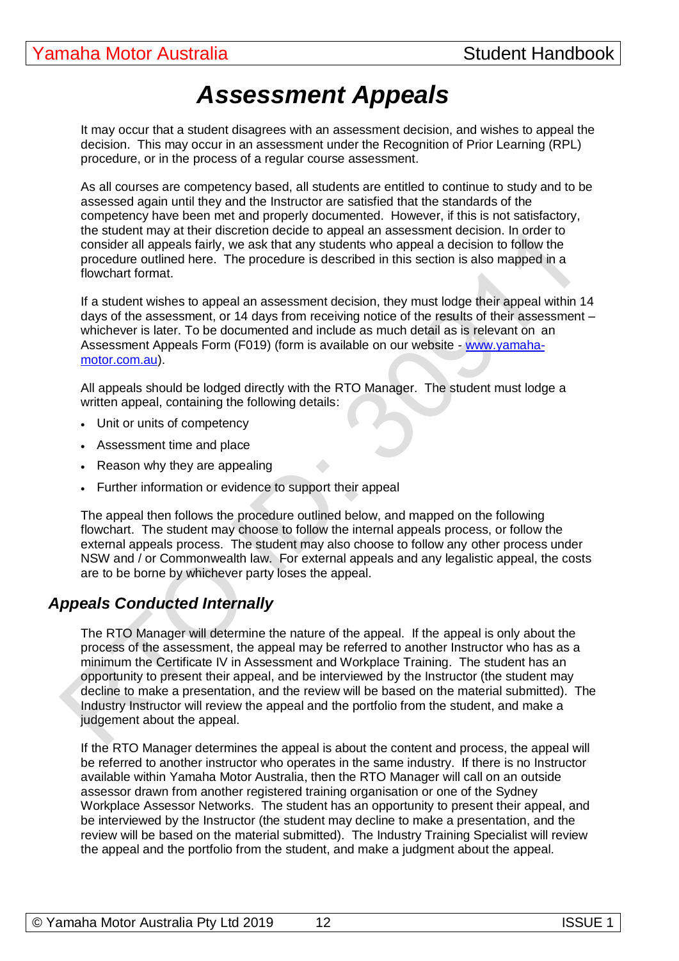# *Assessment Appeals*

It may occur that a student disagrees with an assessment decision, and wishes to appeal the decision. This may occur in an assessment under the Recognition of Prior Learning (RPL) procedure, or in the process of a regular course assessment.

As all courses are competency based, all students are entitled to continue to study and to be assessed again until they and the Instructor are satisfied that the standards of the competency have been met and properly documented. However, if this is not satisfactory, the student may at their discretion decide to appeal an assessment decision. In order to consider all appeals fairly, we ask that any students who appeal a decision to follow the procedure outlined here. The procedure is described in this section is also mapped in a flowchart format.

If a student wishes to appeal an assessment decision, they must lodge their appeal within 14 days of the assessment, or 14 days from receiving notice of the results of their assessment – whichever is later. To be documented and include as much detail as is relevant on an Assessment Appeals Form (F019) (form is available on our website - [www.yamaha](http://www.yamaha-motor.com.au/)[motor.com.au\)](http://www.yamaha-motor.com.au/).

All appeals should be lodged directly with the RTO Manager. The student must lodge a written appeal, containing the following details:

- Unit or units of competency
- Assessment time and place
- Reason why they are appealing
- Further information or evidence to support their appeal

The appeal then follows the procedure outlined below, and mapped on the following flowchart. The student may choose to follow the internal appeals process, or follow the external appeals process. The student may also choose to follow any other process under NSW and / or Commonwealth law. For external appeals and any legalistic appeal, the costs are to be borne by whichever party loses the appeal.

# *Appeals Conducted Internally*

The RTO Manager will determine the nature of the appeal. If the appeal is only about the process of the assessment, the appeal may be referred to another Instructor who has as a minimum the Certificate IV in Assessment and Workplace Training. The student has an opportunity to present their appeal, and be interviewed by the Instructor (the student may decline to make a presentation, and the review will be based on the material submitted). The Industry Instructor will review the appeal and the portfolio from the student, and make a judgement about the appeal.

If the RTO Manager determines the appeal is about the content and process, the appeal will be referred to another instructor who operates in the same industry. If there is no Instructor available within Yamaha Motor Australia, then the RTO Manager will call on an outside assessor drawn from another registered training organisation or one of the Sydney Workplace Assessor Networks. The student has an opportunity to present their appeal, and be interviewed by the Instructor (the student may decline to make a presentation, and the review will be based on the material submitted). The Industry Training Specialist will review the appeal and the portfolio from the student, and make a judgment about the appeal.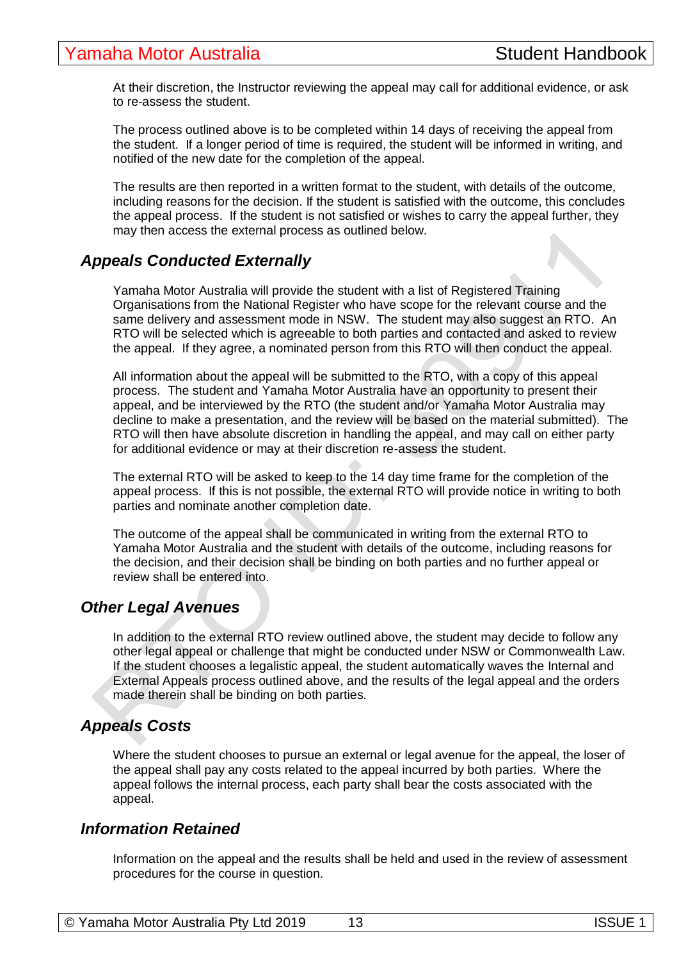At their discretion, the Instructor reviewing the appeal may call for additional evidence, or ask to re-assess the student.

The process outlined above is to be completed within 14 days of receiving the appeal from the student. If a longer period of time is required, the student will be informed in writing, and notified of the new date for the completion of the appeal.

The results are then reported in a written format to the student, with details of the outcome, including reasons for the decision. If the student is satisfied with the outcome, this concludes the appeal process. If the student is not satisfied or wishes to carry the appeal further, they may then access the external process as outlined below.

# *Appeals Conducted Externally*

Yamaha Motor Australia will provide the student with a list of Registered Training Organisations from the National Register who have scope for the relevant course and the same delivery and assessment mode in NSW. The student may also suggest an RTO. An RTO will be selected which is agreeable to both parties and contacted and asked to review the appeal. If they agree, a nominated person from this RTO will then conduct the appeal.

All information about the appeal will be submitted to the RTO, with a copy of this appeal process. The student and Yamaha Motor Australia have an opportunity to present their appeal, and be interviewed by the RTO (the student and/or Yamaha Motor Australia may decline to make a presentation, and the review will be based on the material submitted). The RTO will then have absolute discretion in handling the appeal, and may call on either party for additional evidence or may at their discretion re-assess the student.

The external RTO will be asked to keep to the 14 day time frame for the completion of the appeal process. If this is not possible, the external RTO will provide notice in writing to both parties and nominate another completion date.

The outcome of the appeal shall be communicated in writing from the external RTO to Yamaha Motor Australia and the student with details of the outcome, including reasons for the decision, and their decision shall be binding on both parties and no further appeal or review shall be entered into.

### *Other Legal Avenues*

In addition to the external RTO review outlined above, the student may decide to follow any other legal appeal or challenge that might be conducted under NSW or Commonwealth Law. If the student chooses a legalistic appeal, the student automatically waves the Internal and External Appeals process outlined above, and the results of the legal appeal and the orders made therein shall be binding on both parties.

### *Appeals Costs*

Where the student chooses to pursue an external or legal avenue for the appeal, the loser of the appeal shall pay any costs related to the appeal incurred by both parties. Where the appeal follows the internal process, each party shall bear the costs associated with the appeal.

#### *Information Retained*

Information on the appeal and the results shall be held and used in the review of assessment procedures for the course in question.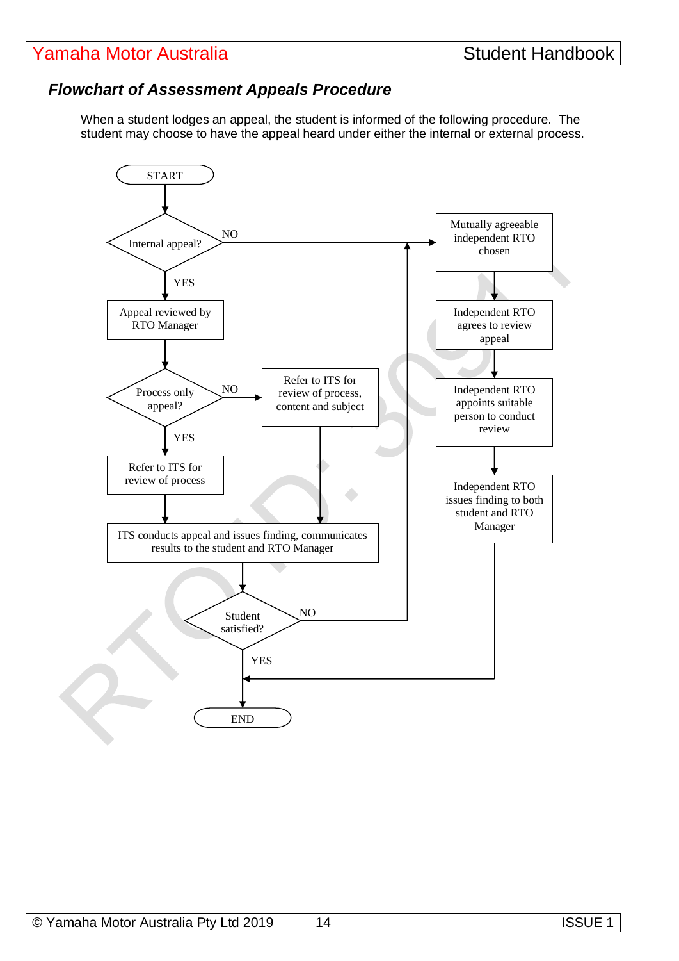# *Flowchart of Assessment Appeals Procedure*

When a student lodges an appeal, the student is informed of the following procedure. The student may choose to have the appeal heard under either the internal or external process.

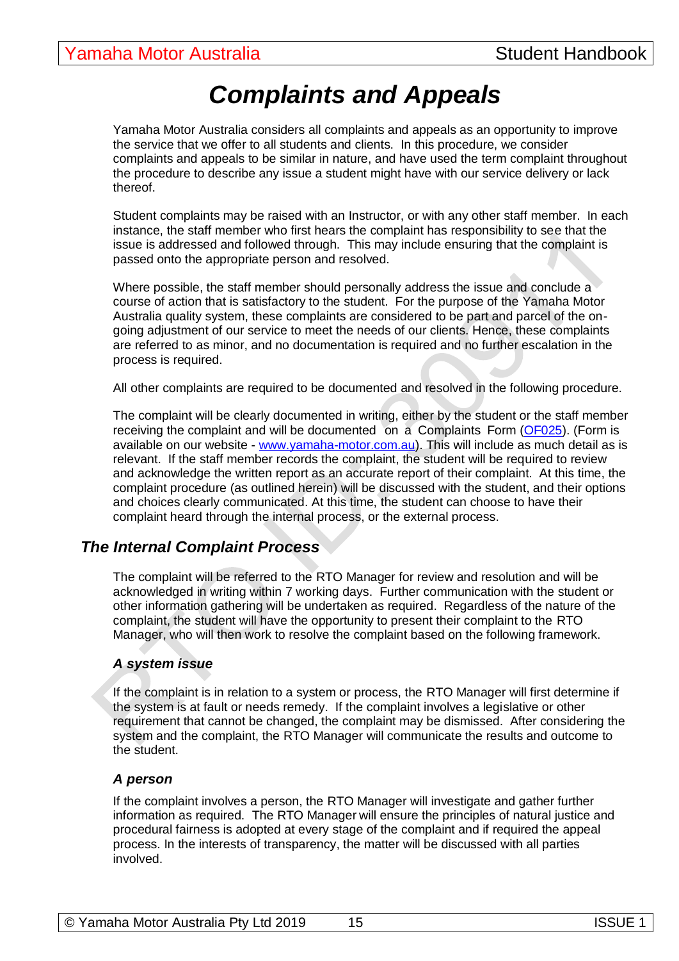# *Complaints and Appeals*

Yamaha Motor Australia considers all complaints and appeals as an opportunity to improve the service that we offer to all students and clients. In this procedure, we consider complaints and appeals to be similar in nature, and have used the term complaint throughout the procedure to describe any issue a student might have with our service delivery or lack thereof.

Student complaints may be raised with an Instructor, or with any other staff member. In each instance, the staff member who first hears the complaint has responsibility to see that the issue is addressed and followed through. This may include ensuring that the complaint is passed onto the appropriate person and resolved.

Where possible, the staff member should personally address the issue and conclude a course of action that is satisfactory to the student. For the purpose of the Yamaha Motor Australia quality system, these complaints are considered to be part and parcel of the ongoing adjustment of our service to meet the needs of our clients. Hence, these complaints are referred to as minor, and no documentation is required and no further escalation in the process is required.

All other complaints are required to be documented and resolved in the following procedure.

The complaint will be clearly documented in writing, either by the student or the staff member receiving the complaint and will be documented on a Complaints Form [\(OF025\)](file://///Getabout/getabout/Getabout%20Training%20Services/Administration%20Files/operational%20forms/OF025_Complaint%20Form_%2002.11.15%20Vs2.0.docx). (Form is available on our website - [www.yamaha-motor.com.au\)](http://www.yamaha-motor.com.au/). This will include as much detail as is relevant. If the staff member records the complaint, the student will be required to review and acknowledge the written report as an accurate report of their complaint. At this time, the complaint procedure (as outlined herein) will be discussed with the student, and their options and choices clearly communicated. At this time, the student can choose to have their complaint heard through the internal process, or the external process.

# *The Internal Complaint Process*

The complaint will be referred to the RTO Manager for review and resolution and will be acknowledged in writing within 7 working days. Further communication with the student or other information gathering will be undertaken as required. Regardless of the nature of the complaint, the student will have the opportunity to present their complaint to the RTO Manager, who will then work to resolve the complaint based on the following framework.

#### *A system issue*

If the complaint is in relation to a system or process, the RTO Manager will first determine if the system is at fault or needs remedy. If the complaint involves a legislative or other requirement that cannot be changed, the complaint may be dismissed. After considering the system and the complaint, the RTO Manager will communicate the results and outcome to the student.

#### *A person*

If the complaint involves a person, the RTO Manager will investigate and gather further information as required. The RTO Manager will ensure the principles of natural justice and procedural fairness is adopted at every stage of the complaint and if required the appeal process. In the interests of transparency, the matter will be discussed with all parties involved.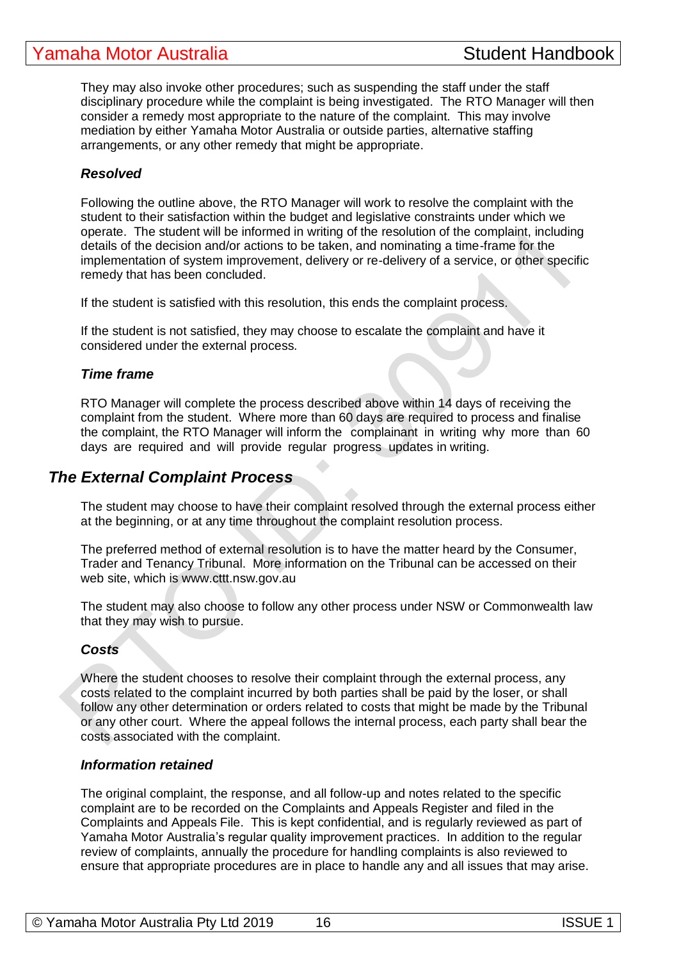They may also invoke other procedures; such as suspending the staff under the staff disciplinary procedure while the complaint is being investigated. The RTO Manager will then consider a remedy most appropriate to the nature of the complaint. This may involve mediation by either Yamaha Motor Australia or outside parties, alternative staffing arrangements, or any other remedy that might be appropriate.

#### *Resolved*

Following the outline above, the RTO Manager will work to resolve the complaint with the student to their satisfaction within the budget and legislative constraints under which we operate. The student will be informed in writing of the resolution of the complaint, including details of the decision and/or actions to be taken, and nominating a time-frame for the implementation of system improvement, delivery or re-delivery of a service, or other specific remedy that has been concluded.

If the student is satisfied with this resolution, this ends the complaint process.

If the student is not satisfied, they may choose to escalate the complaint and have it considered under the external process.

#### *Time frame*

RTO Manager will complete the process described above within 14 days of receiving the complaint from the student. Where more than 60 days are required to process and finalise the complaint, the RTO Manager will inform the complainant in writing why more than 60 days are required and will provide regular progress updates in writing.

### *The External Complaint Process*

The student may choose to have their complaint resolved through the external process either at the beginning, or at any time throughout the complaint resolution process.

The preferred method of external resolution is to have the matter heard by the Consumer, Trader and Tenancy Tribunal. More information on the Tribunal can be accessed on their web site, which is www.cttt.nsw.gov.au

The student may also choose to follow any other process under NSW or Commonwealth law that they may wish to pursue.

#### *Costs*

Where the student chooses to resolve their complaint through the external process, any costs related to the complaint incurred by both parties shall be paid by the loser, or shall follow any other determination or orders related to costs that might be made by the Tribunal or any other court. Where the appeal follows the internal process, each party shall bear the costs associated with the complaint.

#### *Information retained*

The original complaint, the response, and all follow-up and notes related to the specific complaint are to be recorded on the Complaints and Appeals Register and filed in the Complaints and Appeals File. This is kept confidential, and is regularly reviewed as part of Yamaha Motor Australia's regular quality improvement practices. In addition to the regular review of complaints, annually the procedure for handling complaints is also reviewed to ensure that appropriate procedures are in place to handle any and all issues that may arise.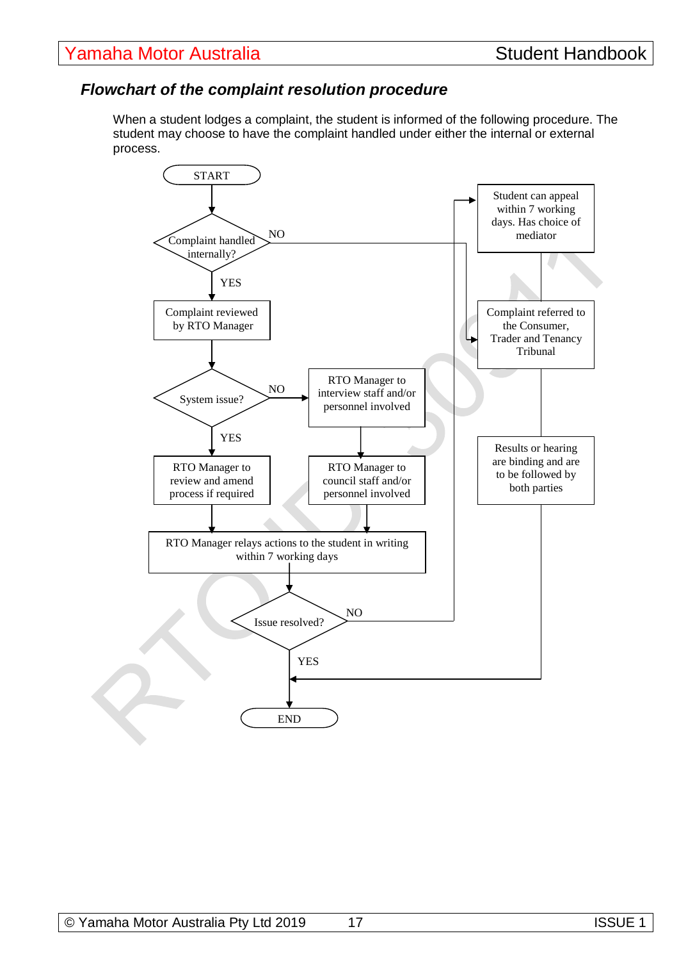# *Flowchart of the complaint resolution procedure*

When a student lodges a complaint, the student is informed of the following procedure. The student may choose to have the complaint handled under either the internal or external process.

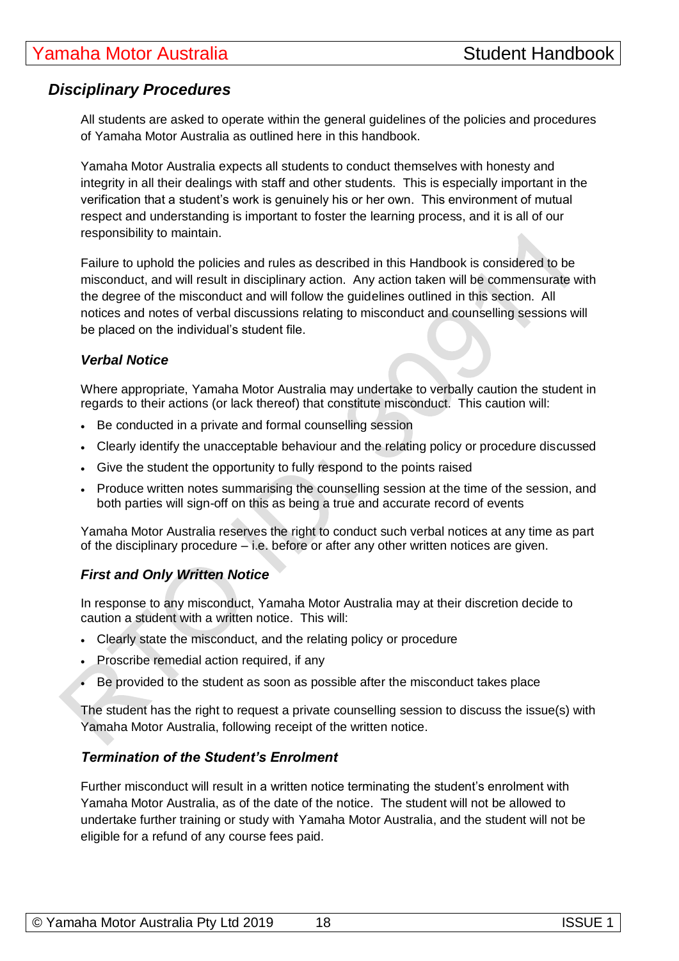# *Disciplinary Procedures*

All students are asked to operate within the general guidelines of the policies and procedures of Yamaha Motor Australia as outlined here in this handbook.

Yamaha Motor Australia expects all students to conduct themselves with honesty and integrity in all their dealings with staff and other students. This is especially important in the verification that a student's work is genuinely his or her own. This environment of mutual respect and understanding is important to foster the learning process, and it is all of our responsibility to maintain.

Failure to uphold the policies and rules as described in this Handbook is considered to be misconduct, and will result in disciplinary action. Any action taken will be commensurate with the degree of the misconduct and will follow the guidelines outlined in this section. All notices and notes of verbal discussions relating to misconduct and counselling sessions will be placed on the individual's student file.

#### *Verbal Notice*

Where appropriate, Yamaha Motor Australia may undertake to verbally caution the student in regards to their actions (or lack thereof) that constitute misconduct. This caution will:

- Be conducted in a private and formal counselling session
- Clearly identify the unacceptable behaviour and the relating policy or procedure discussed
- Give the student the opportunity to fully respond to the points raised
- Produce written notes summarising the counselling session at the time of the session, and both parties will sign-off on this as being a true and accurate record of events

Yamaha Motor Australia reserves the right to conduct such verbal notices at any time as part of the disciplinary procedure – i.e. before or after any other written notices are given.

### *First and Only Written Notice*

In response to any misconduct, Yamaha Motor Australia may at their discretion decide to caution a student with a written notice. This will:

- Clearly state the misconduct, and the relating policy or procedure
- Proscribe remedial action required, if any
- Be provided to the student as soon as possible after the misconduct takes place

The student has the right to request a private counselling session to discuss the issue(s) with Yamaha Motor Australia, following receipt of the written notice.

#### *Termination of the Student's Enrolment*

Further misconduct will result in a written notice terminating the student's enrolment with Yamaha Motor Australia, as of the date of the notice. The student will not be allowed to undertake further training or study with Yamaha Motor Australia, and the student will not be eligible for a refund of any course fees paid.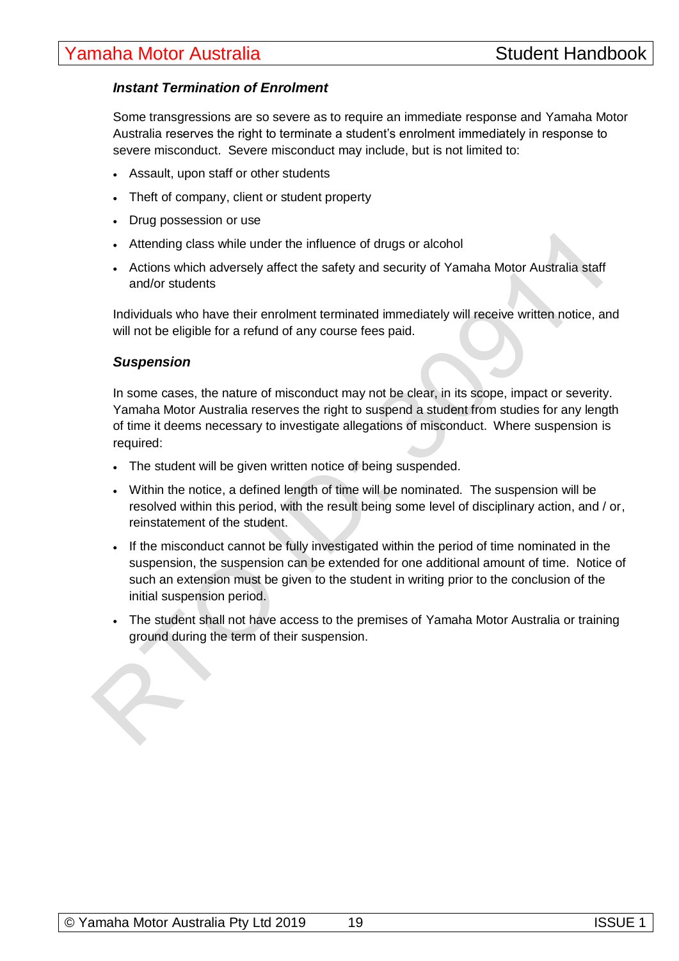#### *Instant Termination of Enrolment*

Some transgressions are so severe as to require an immediate response and Yamaha Motor Australia reserves the right to terminate a student's enrolment immediately in response to severe misconduct. Severe misconduct may include, but is not limited to:

- Assault, upon staff or other students
- Theft of company, client or student property
- Drug possession or use
- Attending class while under the influence of drugs or alcohol
- Actions which adversely affect the safety and security of Yamaha Motor Australia staff and/or students

Individuals who have their enrolment terminated immediately will receive written notice, and will not be eligible for a refund of any course fees paid.

#### *Suspension*

In some cases, the nature of misconduct may not be clear, in its scope, impact or severity. Yamaha Motor Australia reserves the right to suspend a student from studies for any length of time it deems necessary to investigate allegations of misconduct. Where suspension is required:

- The student will be given written notice of being suspended.
- Within the notice, a defined length of time will be nominated. The suspension will be resolved within this period, with the result being some level of disciplinary action, and / or, reinstatement of the student.
- If the misconduct cannot be fully investigated within the period of time nominated in the suspension, the suspension can be extended for one additional amount of time. Notice of such an extension must be given to the student in writing prior to the conclusion of the initial suspension period.
- The student shall not have access to the premises of Yamaha Motor Australia or training ground during the term of their suspension.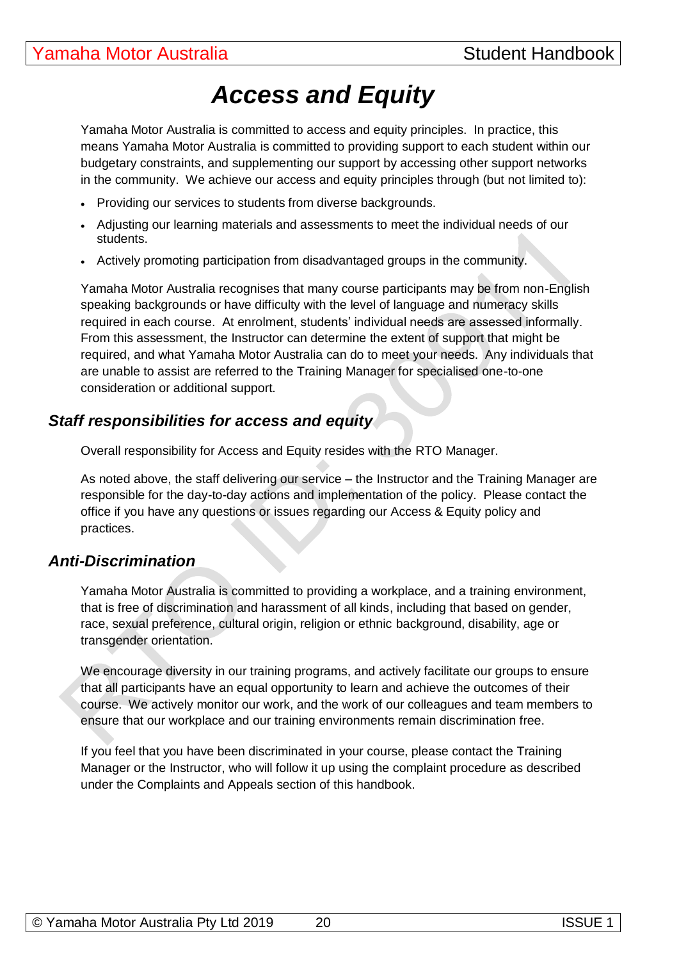# *Access and Equity*

Yamaha Motor Australia is committed to access and equity principles. In practice, this means Yamaha Motor Australia is committed to providing support to each student within our budgetary constraints, and supplementing our support by accessing other support networks in the community. We achieve our access and equity principles through (but not limited to):

- Providing our services to students from diverse backgrounds.
- Adjusting our learning materials and assessments to meet the individual needs of our students.
- Actively promoting participation from disadvantaged groups in the community.

Yamaha Motor Australia recognises that many course participants may be from non-English speaking backgrounds or have difficulty with the level of language and numeracy skills required in each course. At enrolment, students' individual needs are assessed informally. From this assessment, the Instructor can determine the extent of support that might be required, and what Yamaha Motor Australia can do to meet your needs. Any individuals that are unable to assist are referred to the Training Manager for specialised one-to-one consideration or additional support.

# *Staff responsibilities for access and equity*

Overall responsibility for Access and Equity resides with the RTO Manager.

As noted above, the staff delivering our service – the Instructor and the Training Manager are responsible for the day-to-day actions and implementation of the policy. Please contact the office if you have any questions or issues regarding our Access & Equity policy and practices.

# *Anti-Discrimination*

Yamaha Motor Australia is committed to providing a workplace, and a training environment, that is free of discrimination and harassment of all kinds, including that based on gender, race, sexual preference, cultural origin, religion or ethnic background, disability, age or transgender orientation.

We encourage diversity in our training programs, and actively facilitate our groups to ensure that all participants have an equal opportunity to learn and achieve the outcomes of their course. We actively monitor our work, and the work of our colleagues and team members to ensure that our workplace and our training environments remain discrimination free.

If you feel that you have been discriminated in your course, please contact the Training Manager or the Instructor, who will follow it up using the complaint procedure as described under the Complaints and Appeals section of this handbook.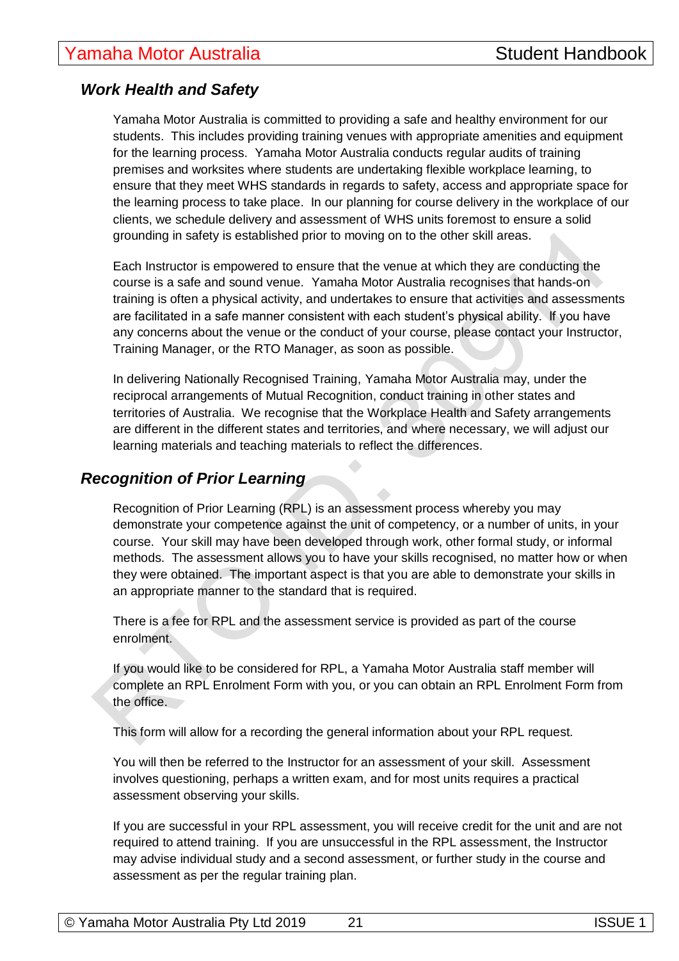# *Work Health and Safety*

Yamaha Motor Australia is committed to providing a safe and healthy environment for our students. This includes providing training venues with appropriate amenities and equipment for the learning process. Yamaha Motor Australia conducts regular audits of training premises and worksites where students are undertaking flexible workplace learning, to ensure that they meet WHS standards in regards to safety, access and appropriate space for the learning process to take place. In our planning for course delivery in the workplace of our clients, we schedule delivery and assessment of WHS units foremost to ensure a solid grounding in safety is established prior to moving on to the other skill areas.

Each Instructor is empowered to ensure that the venue at which they are conducting the course is a safe and sound venue. Yamaha Motor Australia recognises that hands-on training is often a physical activity, and undertakes to ensure that activities and assessments are facilitated in a safe manner consistent with each student's physical ability. If you have any concerns about the venue or the conduct of your course, please contact your Instructor, Training Manager, or the RTO Manager, as soon as possible.

In delivering Nationally Recognised Training, Yamaha Motor Australia may, under the reciprocal arrangements of Mutual Recognition, conduct training in other states and territories of Australia. We recognise that the Workplace Health and Safety arrangements are different in the different states and territories, and where necessary, we will adjust our learning materials and teaching materials to reflect the differences.

# *Recognition of Prior Learning*

Recognition of Prior Learning (RPL) is an assessment process whereby you may demonstrate your competence against the unit of competency, or a number of units, in your course. Your skill may have been developed through work, other formal study, or informal methods. The assessment allows you to have your skills recognised, no matter how or when they were obtained. The important aspect is that you are able to demonstrate your skills in an appropriate manner to the standard that is required.

There is a fee for RPL and the assessment service is provided as part of the course enrolment.

If you would like to be considered for RPL, a Yamaha Motor Australia staff member will complete an RPL Enrolment Form with you, or you can obtain an RPL Enrolment Form from the office.

This form will allow for a recording the general information about your RPL request.

You will then be referred to the Instructor for an assessment of your skill. Assessment involves questioning, perhaps a written exam, and for most units requires a practical assessment observing your skills.

If you are successful in your RPL assessment, you will receive credit for the unit and are not required to attend training. If you are unsuccessful in the RPL assessment, the Instructor may advise individual study and a second assessment, or further study in the course and assessment as per the regular training plan.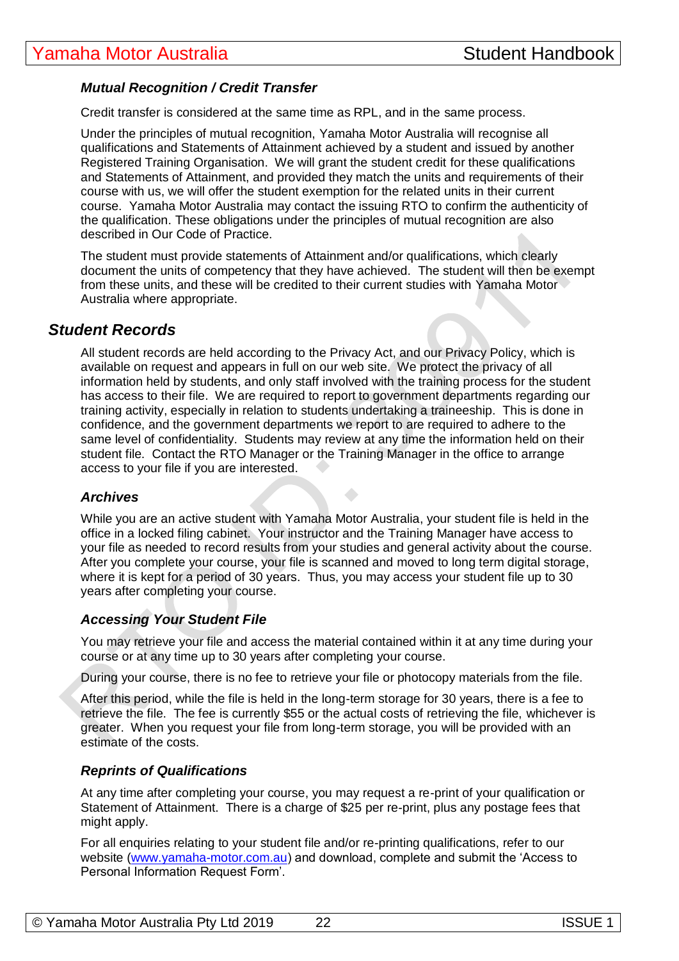#### *Mutual Recognition / Credit Transfer*

Credit transfer is considered at the same time as RPL, and in the same process.

Under the principles of mutual recognition, Yamaha Motor Australia will recognise all qualifications and Statements of Attainment achieved by a student and issued by another Registered Training Organisation. We will grant the student credit for these qualifications and Statements of Attainment, and provided they match the units and requirements of their course with us, we will offer the student exemption for the related units in their current course. Yamaha Motor Australia may contact the issuing RTO to confirm the authenticity of the qualification. These obligations under the principles of mutual recognition are also described in Our Code of Practice.

The student must provide statements of Attainment and/or qualifications, which clearly document the units of competency that they have achieved. The student will then be exempt from these units, and these will be credited to their current studies with Yamaha Motor Australia where appropriate.

#### *Student Records*

All student records are held according to the Privacy Act, and our Privacy Policy, which is available on request and appears in full on our web site. We protect the privacy of all information held by students, and only staff involved with the training process for the student has access to their file. We are required to report to government departments regarding our training activity, especially in relation to students undertaking a traineeship. This is done in confidence, and the government departments we report to are required to adhere to the same level of confidentiality. Students may review at any time the information held on their student file. Contact the RTO Manager or the Training Manager in the office to arrange access to your file if you are interested.

#### *Archives*

While you are an active student with Yamaha Motor Australia, your student file is held in the office in a locked filing cabinet. Your instructor and the Training Manager have access to your file as needed to record results from your studies and general activity about the course. After you complete your course, your file is scanned and moved to long term digital storage, where it is kept for a period of 30 years. Thus, you may access your student file up to 30 years after completing your course.

 $\bullet$ 

#### *Accessing Your Student File*

You may retrieve your file and access the material contained within it at any time during your course or at any time up to 30 years after completing your course.

During your course, there is no fee to retrieve your file or photocopy materials from the file.

After this period, while the file is held in the long-term storage for 30 years, there is a fee to retrieve the file. The fee is currently \$55 or the actual costs of retrieving the file, whichever is greater. When you request your file from long-term storage, you will be provided with an estimate of the costs.

#### *Reprints of Qualifications*

At any time after completing your course, you may request a re-print of your qualification or Statement of Attainment. There is a charge of \$25 per re-print, plus any postage fees that might apply.

For all enquiries relating to your student file and/or re-printing qualifications, refer to our website [\(www.yamaha-motor.com.au\)](http://www.yamaha-motor.com.au/) and download, complete and submit the 'Access to Personal Information Request Form'.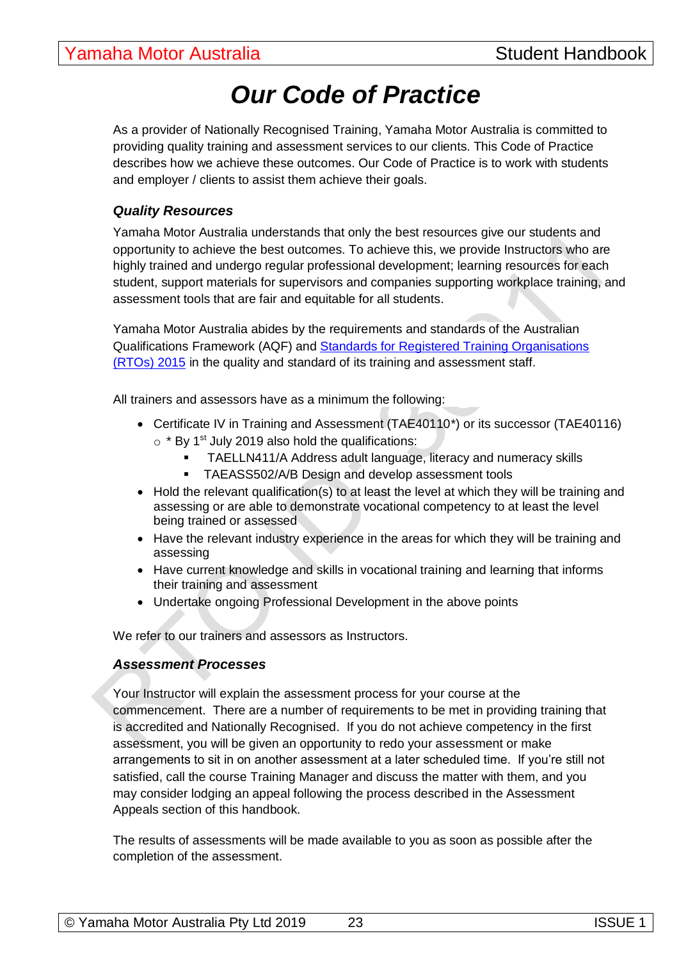# *Our Code of Practice*

As a provider of Nationally Recognised Training, Yamaha Motor Australia is committed to providing quality training and assessment services to our clients. This Code of Practice describes how we achieve these outcomes. Our Code of Practice is to work with students and employer / clients to assist them achieve their goals.

#### *Quality Resources*

Yamaha Motor Australia understands that only the best resources give our students and opportunity to achieve the best outcomes. To achieve this, we provide Instructors who are highly trained and undergo regular professional development; learning resources for each student, support materials for supervisors and companies supporting workplace training, and assessment tools that are fair and equitable for all students.

Yamaha Motor Australia abides by the requirements and standards of the Australian Qualifications Framework (AQF) and [Standards for Registered Training Organisations](https://www.legislation.gov.au/Details/F2017C00663)  [\(RTOs\) 2015](https://www.legislation.gov.au/Details/F2017C00663) in the quality and standard of its training and assessment staff.

All trainers and assessors have as a minimum the following:

- Certificate IV in Training and Assessment (TAE40110<sup>\*</sup>) or its successor (TAE40116)  $\circ$  \* By 1<sup>st</sup> July 2019 also hold the qualifications:
	- **E** TAELLN411/A Address adult language, literacy and numeracy skills
	- **TAEASS502/A/B Design and develop assessment tools**
- Hold the relevant qualification(s) to at least the level at which they will be training and assessing or are able to demonstrate vocational competency to at least the level being trained or assessed
- Have the relevant industry experience in the areas for which they will be training and assessing
- Have current knowledge and skills in vocational training and learning that informs their training and assessment
- Undertake ongoing Professional Development in the above points

We refer to our trainers and assessors as Instructors.

#### *Assessment Processes*

Your Instructor will explain the assessment process for your course at the commencement. There are a number of requirements to be met in providing training that is accredited and Nationally Recognised. If you do not achieve competency in the first assessment, you will be given an opportunity to redo your assessment or make arrangements to sit in on another assessment at a later scheduled time. If you're still not satisfied, call the course Training Manager and discuss the matter with them, and you may consider lodging an appeal following the process described in the Assessment Appeals section of this handbook.

The results of assessments will be made available to you as soon as possible after the completion of the assessment.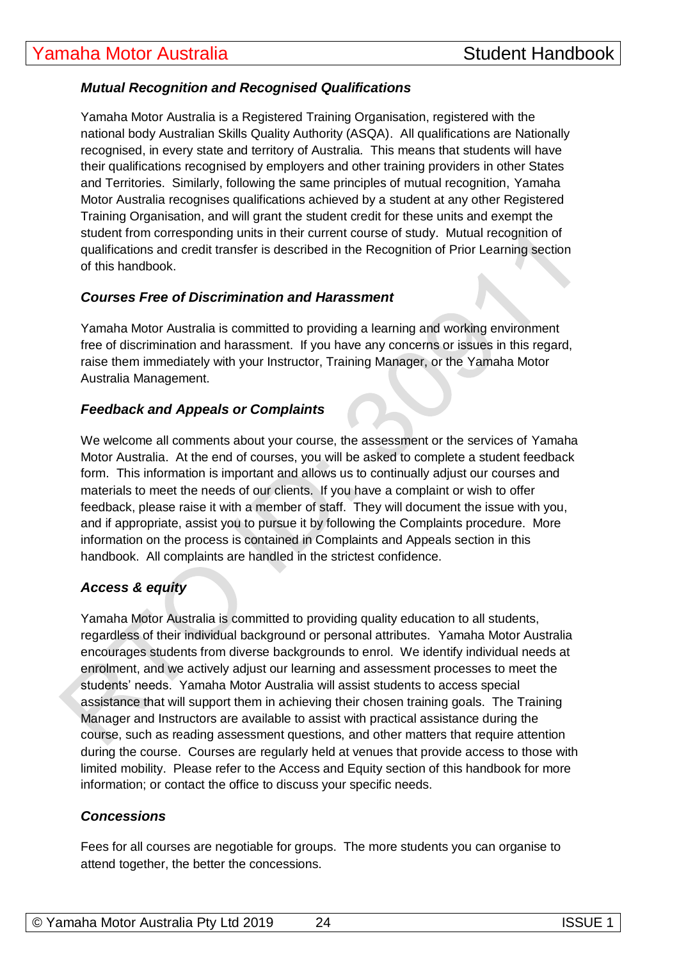#### *Mutual Recognition and Recognised Qualifications*

Yamaha Motor Australia is a Registered Training Organisation, registered with the national body Australian Skills Quality Authority (ASQA). All qualifications are Nationally recognised, in every state and territory of Australia. This means that students will have their qualifications recognised by employers and other training providers in other States and Territories. Similarly, following the same principles of mutual recognition, Yamaha Motor Australia recognises qualifications achieved by a student at any other Registered Training Organisation, and will grant the student credit for these units and exempt the student from corresponding units in their current course of study. Mutual recognition of qualifications and credit transfer is described in the Recognition of Prior Learning section of this handbook.

#### *Courses Free of Discrimination and Harassment*

Yamaha Motor Australia is committed to providing a learning and working environment free of discrimination and harassment. If you have any concerns or issues in this regard, raise them immediately with your Instructor, Training Manager, or the Yamaha Motor Australia Management.

#### *Feedback and Appeals or Complaints*

We welcome all comments about your course, the assessment or the services of Yamaha Motor Australia. At the end of courses, you will be asked to complete a student feedback form. This information is important and allows us to continually adjust our courses and materials to meet the needs of our clients. If you have a complaint or wish to offer feedback, please raise it with a member of staff. They will document the issue with you, and if appropriate, assist you to pursue it by following the Complaints procedure. More information on the process is contained in Complaints and Appeals section in this handbook. All complaints are handled in the strictest confidence.

#### *Access & equity*

Yamaha Motor Australia is committed to providing quality education to all students, regardless of their individual background or personal attributes. Yamaha Motor Australia encourages students from diverse backgrounds to enrol. We identify individual needs at enrolment, and we actively adjust our learning and assessment processes to meet the students' needs. Yamaha Motor Australia will assist students to access special assistance that will support them in achieving their chosen training goals. The Training Manager and Instructors are available to assist with practical assistance during the course, such as reading assessment questions, and other matters that require attention during the course. Courses are regularly held at venues that provide access to those with limited mobility. Please refer to the Access and Equity section of this handbook for more information; or contact the office to discuss your specific needs.

#### *Concessions*

Fees for all courses are negotiable for groups. The more students you can organise to attend together, the better the concessions.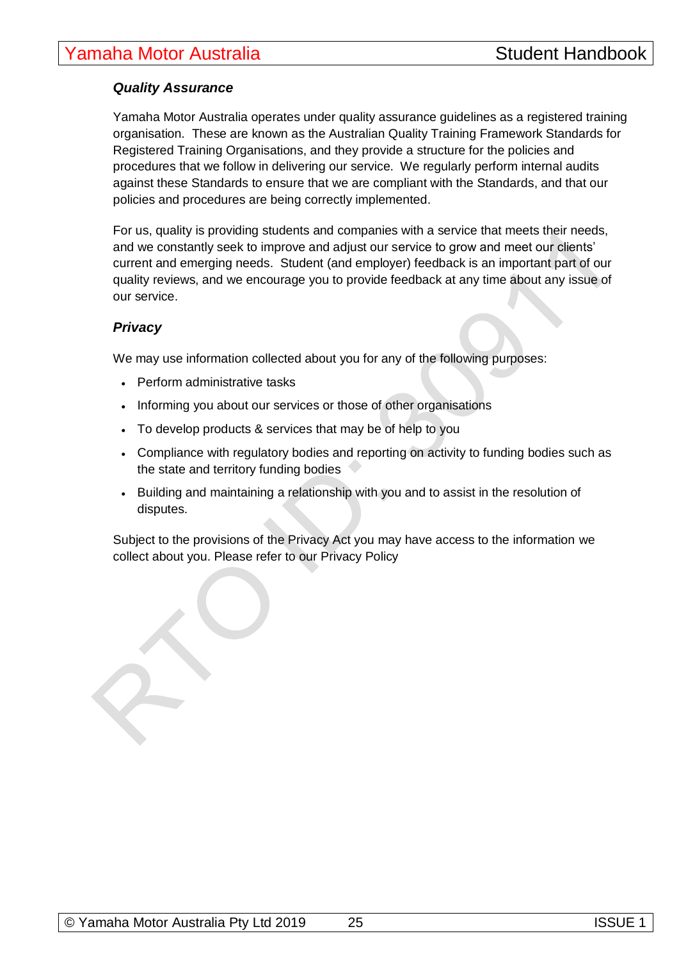#### *Quality Assurance*

Yamaha Motor Australia operates under quality assurance guidelines as a registered training organisation. These are known as the Australian Quality Training Framework Standards for Registered Training Organisations, and they provide a structure for the policies and procedures that we follow in delivering our service. We regularly perform internal audits against these Standards to ensure that we are compliant with the Standards, and that our policies and procedures are being correctly implemented.

For us, quality is providing students and companies with a service that meets their needs, and we constantly seek to improve and adjust our service to grow and meet our clients' current and emerging needs. Student (and employer) feedback is an important part of our quality reviews, and we encourage you to provide feedback at any time about any issue of our service.

#### *Privacy*

We may use information collected about you for any of the following purposes:

- Perform administrative tasks
- Informing you about our services or those of other organisations
- To develop products & services that may be of help to you
- Compliance with regulatory bodies and reporting on activity to funding bodies such as the state and territory funding bodies
- Building and maintaining a relationship with you and to assist in the resolution of disputes.

Subject to the provisions of the Privacy Act you may have access to the information we collect about you. Please refer to our Privacy Policy